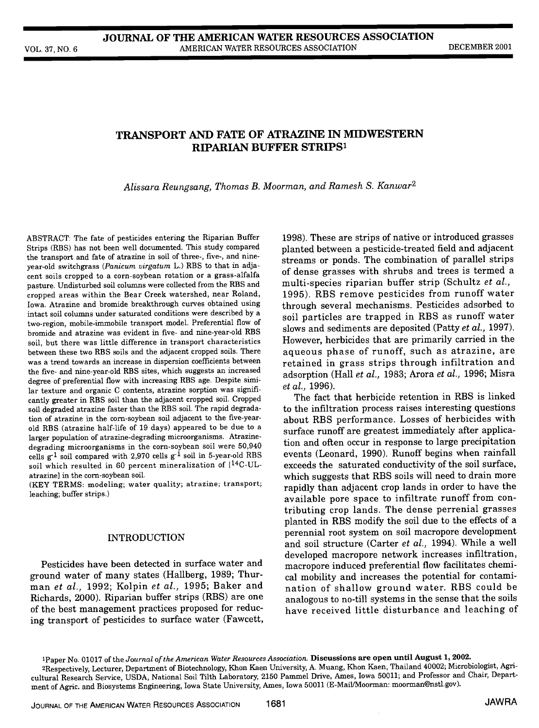# TRANSPORT AND FATE OF ATRAZINE IN MIDWESTERN RIPARIAN BUFFER STRIPS'

Alissara Reungsang, Thomas B. Moorman, and Ramesh S. Kanwar2

ABSTRACT: The fate of pesticides entering the Riparian Buffer Strips (RBS) has not been well documented. This study compared the transport and fate of atrazine in soil of three-, five-, and nineyear-old switchgrass (Panicum virgatum L.) RBS to that in adjacent soils cropped to a corn-soybean rotation or a grass-alfalfa pasture. Undisturbed soil columns were collected from the RBS and cropped areas within the Bear Creek watershed, near Roland, Iowa. Atrazine and bromide breakthrough curves obtained using intact soil columns under saturated conditions were described by a two-region, mobile-immobile transport model. Preferential flow of bromide and atrazine was evident in five- and nine-year-old RBS soil, but there was little difference in transport characteristics between these two RBS soils and the adjacent cropped soils. There was a trend towards an increase in dispersion coefficients between the five- and nine-year-old RBS sites, which suggests an increased degree of preferential flow with increasing RBS age. Despite similar texture and organic C contents, atrazine sorption was significantly greater in RBS soil than the adjacent cropped soil. Cropped soil degraded atrazine faster than the RBS soil. The rapid degradation of atrazine in the corn-soybean soil adjacent to the five-yearold RBS (atrazine half-life of 19 days) appeared to be due to a larger population of atrazine-degrading microorganisms. Atrazinedegrading microorganisms in the corn-soybean soil were 50,940 cells  $g^{-1}$  soil compared with 2,970 cells  $g^{-1}$  soil in 5-year-old RBS soil which resulted in 60 percent mineralization of [14C-ULatrazine] in the corn-soybean soil.

(KEY TERMS: modeling; water quality; atrazine; transport; leaching; buffer strips.)

### INTRODUCTION

Pesticides have been detected in surface water and ground water of many states (Hallberg, 1989; Thurground water of many states (Hallberg, 1989; Thur-<br>man et al., 1992; Kolpin et al., 1995; Baker and<br>nation of shallow ground water. RBS could be Richards, 2000). Riparian buffer strips (RBS) are one of the best management practices proposed for reducing transport of pesticides to surface water (Fawcett,

1998). These are strips of native or introduced grasses planted between a pesticide-treated field and adjacent streams or ponds. The combination of parallel strips of dense grasses with shrubs and trees is termed a multi-species riparian buffer strip (Schultz et al., 1995). RBS remove pesticides from runoff water through several mechanisms. Pesticides adsorbed to soil particles are trapped in RBS as runoff water slows and sediments are deposited (Patty et al., 1997). However, herbicides that are primarily carried in the aqueous phase of runoff, such as atrazine, are retained in grass strips through infiltration and adsorption (Hall et al., 1983; Arora et al., 1996; Misra et al., 1996).

The fact that herbicide retention in RBS is linked to the infiltration process raises interesting questions about RBS performance. Losses of herbicides with surface runoff are greatest immediately after application and often occur in response to large precipitation events (Leonard, 1990). Runoff begins when rainfall exceeds the saturated conductivity of the soil surface, which suggests that RBS soils will need to drain more rapidly than adjacent crop lands in order to have the available pore space to infiltrate runoff from conplanted in RBS modify the soil due to the effects of a perennial root system on soil macropore development and soil structure (Carter et al., 1994). While a well developed macropore network increases infiltration, macropore induced preferential flow facilitates chemination of shallow ground water. RBS could be analogous to no-till systems in the sense that the soils have received little disturbance and leaching of

<sup>1</sup>Paper No. 01017 of the Journal of the American Water Resources Association. Discussions are open until August 1, 2002. 2Respectively, Lecturer, Department of Biotechnology, Khon Kaen University, A. Muang, Khon Kaen, Thailand 40002; Microbiologist, Agricultural Research Service, USDA, National Soil Tilth Laboratory, 2150 Pammel Drive, Ames, Iowa 50011; and Professor and Chair, Department of Agric. and Biosystems Engineering, Iowa State University, Ames, Iowa 50011 (E-MaillMoorman: moorman@nstl.gov).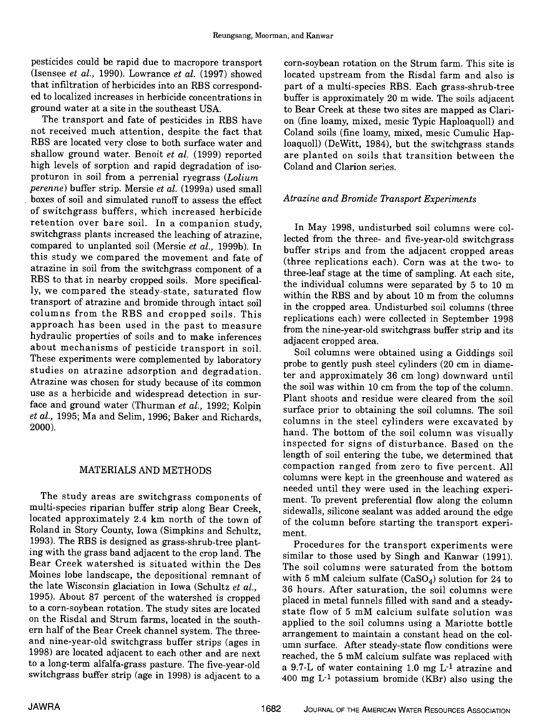pesticides could be rapid due to macropore transport (Isensee et al., 1990). Lowrance et al. (1997) showed that infiltration of herbicides into an RBS corresponded to localized increases in herbicide concentrations in ground water at a site in the southeast USA.

The transport and fate of pesticides in RBS have not received much attention, despite the fact that RBS are located very close to both surface water and loaquoll) (DeWitt, 1984), but the switchgrass stands shallow ground water. Benoit et al. (1999) reported high levels of sorption and rapid degradation of isoproturon in soil from a perrenial ryegrass (Lolium perenne) buffer strip. Mersie et al. (1999a) used small boxes of soil and simulated runoff to assess the effect of switchgrass buffers, which increased herbicide retention over bare soil. In a companion study, switchgrass plants increased the leaching of atrazine, compared to unpianted soil (Mersie et al., 1999b). In this study we compared the movement and fate of atrazine in soil from the switchgrass component of a RBS to that in nearby cropped soils. More specifically, we compared the steady-state, saturated flow transport of atrazine and bromide through intact soil columns from the RBS and cropped soils. This approach has been used in the past to measure hydraulic properties of soils and to make inferences about mechanisms of pesticide transport in soil. These experiments were complemented by laboratory studies on atrazine adsorption and degradation. Atrazine was chosen for study because of its common use as a herbicide and widespread detection in surface and ground water (Thurman et al., 1992; Kolpin et al., 1995; Ma and Selim, 1996; Baker and Richards, 2000).

## MATERIALS AND METHODS

The study areas are switchgrass components of multi-species riparian buffer strip along Bear Creek, located approximately 2.4 km north of the town of Roland in Story County, Iowa (Simpkins and Schultz, 1993). The RBS is designed as grass-shrub-tree planting with the grass band adjacent to the crop land. The Bear Creek watershed is situated within the Des Moines lobe landscape, the depositional remnant of the late Wisconsin glaciation in Iowa (Schultz et al., 1995). About 87 percent of the watershed is cropped to a corn-soybean rotation. The study sites are located on the Risdal and Strum farms, located in the southern half of the Bear Creek channel system. The threeand nine-year-old switchgrass buffer strips (ages in 1998) are located adjacent to each other and are next to a long-term alfalfa-grass pasture. The five-year-old switchgrass buffer strip (age in 1998) is adjacent to a

corn-soybean rotation on the Strum farm. This site is located upstream from the Risdal farm and also is part of a multi-species RBS. Each grass-shrub-tree buffer is approximately 20 m wide. The soils adjacent to Bear Creek at these two sites are mapped as Clarion (fine loamy, mixed, mesic Typic Haploaquoll) and Coland soils (fine loamy, mixed, mesic Cumulic Hapare planted on soils that transition between the Coland and Clarion series.

# Atrazine and Bromide Transport Experiments

In May 1998, undisturbed soil columns were collected from the three- and five-year-old switchgrass buffer strips and from the adjacent cropped areas (three replications each). Corn was at the two- to three-leaf stage at the time of sampling. At each site, the individual columns were separated by 5 to 10 m within the RBS and by about 10 m from the columns in the cropped area. Undisturbed soil columns (three replications each) were collected in September 1998 from the nine-year-old switchgrass buffer strip and its adjacent cropped area.

Soil columns were obtained using a Giddings soil probe to gently push steel cylinders (20 cm in diameter and approximately 36 cm long) downward until the soil was within 10 cm from the top of the column. Plant shoots and residue were cleared from the soil surface prior to obtaining the soil columns. The soil columns in the steel cylinders were excavated by hand. The bottom of the soil column was visually inspected for signs of disturbance. Based on the length of soil entering the tube, we determined that compaction ranged from zero to five percent. All columns were kept in the greenhouse and watered as needed until they were used in the leaching experiment. To prevent preferential flow along the column sidewalls, silicone sealant was added around the edge of the column before starting the transport experiment.

Procedures for the transport experiments were similar to those used by Singh and Kanwar (1991). The soil columns were saturated from the bottom with 5 mM calcium sulfate  $(CaSO<sub>4</sub>)$  solution for 24 to 36 hours. After saturation, the soil columns were placed in metal funnels filled with sand and a steadystate flow of 5 mM calcium sulfate solution was applied to the soil columns using a Mariotte bottle arrangement to maintain a constant head on the column surface. After steady-state flow conditions were reached, the 5 mM calcium sulfate was replaced with a 9.7-L of water containing 1.0 mg  $L^{-1}$  atrazine and 400 mg  $L^{-1}$  potassium bromide (KBr) also using the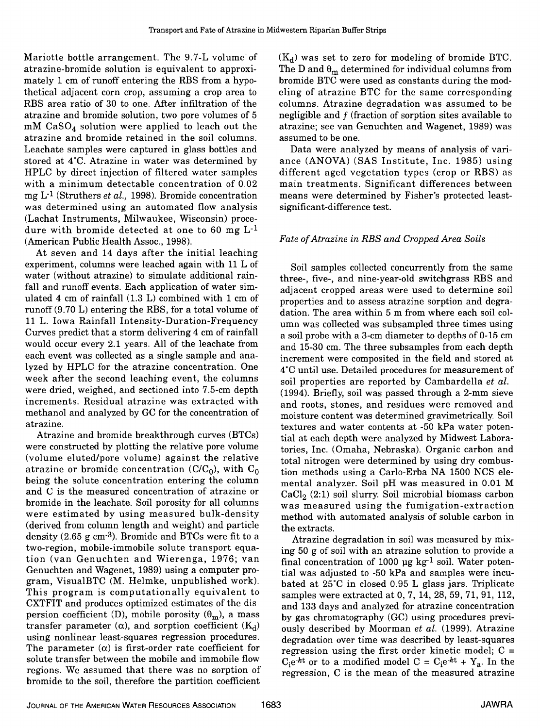Mariotte bottle arrangement. The 9.7-L volume of atrazine-bromide solution is equivalent to approximately 1 cm of runoff entering the RBS from a hypothetical adjacent corn crop, assuming a crop area to RBS area ratio of 30 to one. After infiltration of the atrazine and bromide solution, two pore volumes of 5  $mM$  CaSO<sub>4</sub> solution were applied to leach out the atrazine and bromide retained in the soil columns. Leachate samples were captured in glass bottles and stored at 4°C. Atrazine in water was determined by HPLC by direct injection of filtered water samples different aged vegetation types (crop or RBS) as with a minimum detectable concentration of 0.02 mg L-1 (Struthers et al., 1998). Bromide concentration was determined using an automated flow analysis (Lachat Instruments, Milwaukee, Wisconsin) proce-<br>dure with bromide detected at one to 60 mg  $L^{-1}$ (American Public Health Assoc., 1998).

At seven and 14 days after the initial leaching experiment, columns were leached again with 11 L of water (without atrazine) to simulate additional rainfall and runoff events. Each application of water simulated 4 cm of rainfall (1.3 L) combined with 1 cm of runoff (9.70 L) entering the RBS, for a total volume of 11 L. Iowa Rainfall Intensity-Duration-Frequency Curves predict that a storm delivering 4 cm of rainfall would occur every 2.1 years. All of the leachate from each event was collected as a single sample and analyzed by HPLC for the atrazine concentration. One week after the second leaching event, the columns were dried, weighed, and sectioned into 7.5-cm depth increments. Residual atrazine was extracted with methanol and analyzed by GC for the concentration of atrazine.

Atrazine and bromide breakthrough curves (BTCs) were constructed by plotting the relative pore volume (volume eluted/pore volume) against the relative atrazine or bromide concentration ( $C/C_0$ ), with  $C_0$ being the solute concentration entering the column and C is the measured concentration of atrazine or bromide in the leachate. Soil porosity for all columns were estimated by using measured bulk-density (derived from column length and weight) and particle density (2.65 g cm-3). Bromide and BTCs were fit to a two-region, mobile-immobile solute transport equation (van Genuchten and Wierenga, 1976; van Genuchten and Wagenet, 1989) using a computer program, VisualBTC (M. Helmke, unpublished work). This program is computationally equivalent to CXTFIT and produces optimized estimates of the dispersion coefficient (D), mobile porosity  $(\theta_m)$ , a mass by gas chromatography (GC) using procedures previtransfer parameter  $(\alpha)$ , and sorption coefficient  $(K_d)$ using nonlinear least-squares regression procedures.<br>The parameter  $(\alpha)$  is first-order rate coefficient for solute transfer between the mobile and immobile flow regions. We assumed that there was no sorption of bromide to the soil, therefore the partition coefficient

 $(K_d)$  was set to zero for modeling of bromide BTC. The D and  $\theta_m$  determined for individual columns from bromide BTC were used as constants during the modeling of atrazine BTC for the same corresponding columns. Atrazine degradation was assumed to be negligible and f (fraction of sorption sites available to atrazine; see van Genuchten and Wagenet, 1989) was assumed to be one.

Data were analyzed by means of analysis of variance (ANOVA) (SAS Institute, Inc. 1985) using main treatments. Significant differences between means were determined by Fisher's protected leastsignificant-difference test.

# Fate of Atrazine in RBS and Cropped Area Soils

Soil samples collected concurrently from the same three-, five-, and nine-year-old switchgrass RBS and adjacent cropped areas were used to determine soil properties and to assess atrazine sorption and degradation. The area within 5 m from where each soil column was collected was subsampled three times using a soil probe with a 3-cm diameter to depths of 0-15 cm and 15-30 cm. The three subsamples from each depth increment were composited in the field and stored at 4°C until use. Detailed procedures for measurement of soil properties are reported by Cambardella et al. (1994). Briefly, soil was passed through a 2-mm sieve and roots, stones, and residues were removed and moisture content was determined gravimetrically. Soil textures and water contents at -50 kPa water potential at each depth were analyzed by Midwest Laboratories, Inc. (Omaha, Nebraska). Organic carbon and total nitrogen were determined by using dry combustion methods using a Carlo-Erba NA 1500 NCS elemental analyzer. Soil pH was measured in 0.01 M  $CaCl<sub>2</sub>(2:1)$  soil slurry. Soil microbial biomass carbon was measured using the fumigation-extraction method with automated analysis of soluble carbon in the extracts.

Atrazine degradation in soil was measured by mixing 50 g of soil with an atrazine solution to provide a final concentration of 1000  $\mu$ g kg<sup>-1</sup> soil. Water potential was adjusted to -50 kPa and samples were incubated at 25°C in closed 0.95 L glass jars. Triplicate samples were extracted at 0, 7, 14, 28, 59, 71, 91, 112, and 133 days and analyzed for atrazine concentration ously described by Moorman et al. (1999). Atrazine degradation over time was described by least-squares regression using the first order kinetic model;  $C =$  $C_1e^{-kt}$  or to a modified model  $C = C_1e^{-kt} + Y_a$ . In the regression, C is the mean of the measured atrazine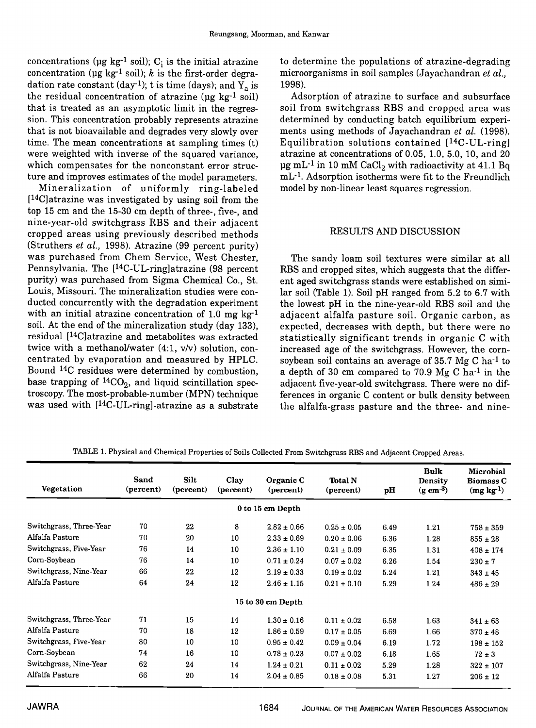concentrations ( $\mu$ g kg<sup>-1</sup> soil); C<sub>i</sub> is the initial atrazine concentration ( $\mu g$  kg<sup>-1</sup> soil); k is the first-order degradation rate constant (day<sup>-1</sup>); t is time (days); and  $Y_a$  is the residual concentration of atrazine ( $\mu$ g kg<sup>-1</sup> soil) that is treated as an asymptotic limit in the regression. This concentration probably represents atrazine determined by conducting batch equilibrium experithat is not bioavailable and degrades very slowly over time. The mean concentrations at sampling times (t) were weighted with inverse of the squared variance, which compensates for the nonconstant error structure and improves estimates of the model parameters.

Mineralization of uniformly ring-labeled [<sup>14</sup>C] atrazine was investigated by using soil from the top 15 cm and the 15-30 cm depth of three-, five-, and nine-year-old switchgrass RBS and their adjacent cropped areas using previously described methods (Struthers et al., 1998). Atrazine (99 percent purity) was purchased from Chem Service, West Chester, Pennsylvania. The  $[$ <sup>14</sup>C-UL-ringlatrazine (98 percent) purity) was purchased from Sigma Chemical Co., St. Louis, Missouri. The mineralization studies were conducted concurrently with the degradation experiment with an initial atrazine concentration of 1.0 mg  $kg^{-1}$  adjacent alfalfa pasture soil. Organic carbon, as soil. At the end of the mineralization study (day 133), residual ['4C]atrazine and metabolites was extracted twice with a methanol/water  $(4:1, v/v)$  solution, concentrated by evaporation and measured by HPLC. Bound 14C residues were determined by combustion, base trapping of  ${}^{14}CO_2$ , and liquid scintillation spectroscopy. The most-probable-number (MPN) technique was used with  $[$ <sup>14</sup>C-UL-ring]-atrazine as a substrate

to determine the populations of atrazine-degrading microorganisms in soil samples (Jayachandran et al., 1998).

Adsorption of atrazine to surface and subsurface soil from switchgrass RBS and cropped area was ments using methods of Jayachandran et al. (1998). Equilibration solutions contained  $[14C-UL-ring]$ atrazine at concentrations of 0.05, 1.0, 5.0, 10, and 20  $\mu$ g mL<sup>-1</sup> in 10 mM CaCl<sub>2</sub> with radioactivity at 41.1 Bq mL-1. Adsorption isotherms were fit to the Freundlich model by non-linear least squares regression.

## RESULTS AND DISCUSSION

The sandy loam soil textures were similar at all RBS and cropped sites, which suggests that the different aged switchgrass stands were established on similar soil (Table 1). Soil pH ranged from 5.2 to 6,7 with the lowest pH in the nine-year-old RBS soil and the expected, decreases with depth, but there were no statistically significant trends in organic C with increased age of the switchgrass. However, the cornsoybean soil contains an average of 35.7 Mg C ha-1 to a depth of 30 cm compared to 70.9 Mg C ha $^{-1}$  in the adjacent five-year-old switchgrass. There were no differences in organic C content or bulk density between the alfalfa-grass pasture and the three- and nine-

| <b>Vegetation</b>       | Sand<br>(percent) | <b>Silt</b><br>(percent) | Clay<br>(percent) | Organic C<br>(percent) | <b>Total N</b><br>(percent) | pН   | <b>Bulk</b><br><b>Density</b><br>$(g \text{ cm}^{-3})$ | Microbial<br><b>Biomass C</b><br>(mg kg <sup>1</sup> ) |
|-------------------------|-------------------|--------------------------|-------------------|------------------------|-----------------------------|------|--------------------------------------------------------|--------------------------------------------------------|
|                         |                   |                          |                   | 0 to 15 cm Depth       |                             |      |                                                        |                                                        |
| Switchgrass, Three-Year | 70                | 22                       | 8                 | $2.82 \pm 0.66$        | $0.25 \pm 0.05$             | 6.49 | 1.21                                                   | $758 \pm 359$                                          |
| Alfalfa Pasture         | 70                | 20                       | 10                | $2.33 \pm 0.69$        | $0.20 \pm 0.06$             | 6.36 | 1.28                                                   | $855 \pm 28$                                           |
| Switchgrass, Five-Year  | 76                | 14                       | 10                | $2.36 \pm 1.10$        | $0.21 \pm 0.09$             | 6.35 | 1.31                                                   | $408 \pm 174$                                          |
| Corn-Soybean            | 76                | 14                       | 10                | $0.71 \pm 0.24$        | $0.07 \pm 0.02$             | 6.26 | 1.54                                                   | $230 \pm 7$                                            |
| Switchgrass, Nine-Year  | 66                | 22                       | 12                | $2.19 \pm 0.33$        | $0.19 \pm 0.02$             | 5.24 | 1.21                                                   | $343 \pm 45$                                           |
| Alfalfa Pasture         | 64                | 24                       | 12                | $2.46 \pm 1.15$        | $0.21 \pm 0.10$             | 5.29 | 1.24                                                   | $486 \pm 29$                                           |
|                         |                   |                          |                   | 15 to 30 cm Depth      |                             |      |                                                        |                                                        |
| Switchgrass, Three-Year | 71                | 15                       | 14                | $1.30 \pm 0.16$        | $0.11 \pm 0.02$             | 6.58 | 1.63                                                   | $341 \pm 63$                                           |
| Alfalfa Pasture         | 70                | 18                       | 12                | $1.86 \pm 0.59$        | $0.17 \pm 0.05$             | 6.69 | 1.66                                                   | $370 \pm 48$                                           |
| Switchgrass, Five-Year  | 80                | 10                       | 10                | $0.95 \pm 0.42$        | $0.09 \pm 0.04$             | 6.19 | 1.72                                                   | $198 \pm 152$                                          |
| Corn-Soybean            | 74                | 16                       | 10                | $0.78 \pm 0.23$        | $0.07 \pm 0.02$             | 6.18 | 1.65                                                   | $72 \pm 3$                                             |
| Switchgrass, Nine-Year  | 62                | 24                       | 14                | $1.24 \pm 0.21$        | $0.11 \pm 0.02$             | 5.29 | 1.28                                                   | $322 \pm 107$                                          |
| Alfalfa Pasture         | 66                | 20                       | 14                | $2.04 \pm 0.85$        | $0.18 \pm 0.08$             | 5.31 | 1.27                                                   | $206 \pm 12$                                           |

TABLE 1. Physical and Chemical Properties of Soils Collected From Switchgrass RBS and Adjacent Cropped Areas.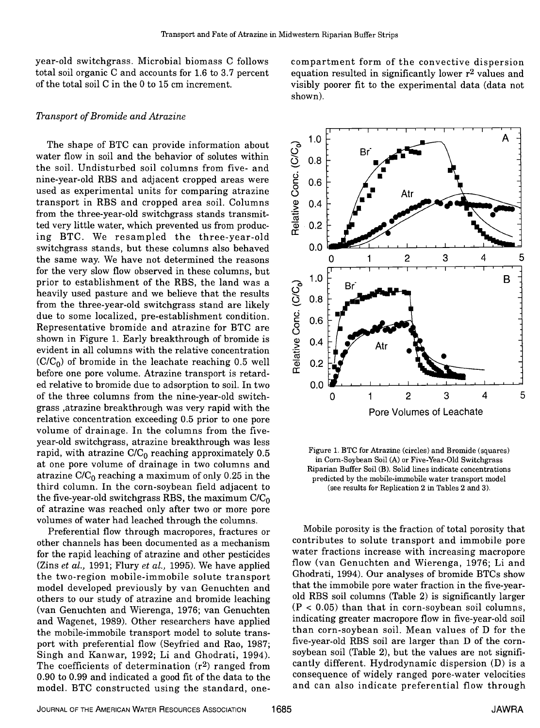year-old switchgrass. Microbial biomass C follows total soil organic C and accounts for 1.6 to 3.7 percent of the total soil C in the 0 to 15 cm increment.

## Transport of Bromide and Atrazine

The shape of BTC can provide information about water flow in soil and the behavior of solutes within the soil. Undisturbed soil columns from five- and nine-year-old RBS and adjacent cropped areas were used as experimental units for comparing atrazine transport in RBS and cropped area soil. Columns from the three-year-old switchgrass stands transmitted very little water, which prevented us from producing BTC. We resampled the three-year-old switchgrass stands, but these columns also behaved the same way. We have not determined the reasons for the very slow flow observed in these columns, but prior to establishment of the RBS, the land was a heavily used pasture and we believe that the results from the three-year-old switchgrass stand are likely due to some localized, pre-establishment condition. Representative bromide and atrazine for BTC are shown in Figure 1. Early breakthrough of bromide is evident in all columns with the relative concentration  $(C/C_0)$  of bromide in the leachate reaching 0.5 well before one pore volume. Atrazine transport is retarded relative to bromide due to adsorption to soil. In two of the three columns from the nine-year-old switchgrass ,atrazine breakthrough was very rapid with the relative concentration exceeding 0.5 prior to one pore volume of drainage. In the columns from the fiveyear-old switchgrass, atrazine breakthrough was less rapid, with atrazine  $C/C_0$  reaching approximately 0.5 at one pore volume of drainage in two columns and atrazine  $C/C_0$  reaching a maximum of only 0.25 in the third column. In the corn-soybean field adjacent to the five-year-old switchgrass RBS, the maximum  $C/C_0$  of atrazine was reached only after two or more pore volumes of water had leached through the columns.

Preferential flow through macropores, fractures or other channels has been documented as a mechanism for the rapid leaching of atrazine and other pesticides (Zins et al., 1991; Flury et al., 1995). We have applied the two-region mobile-immobile solute transport model developed previously by van Genuchten and others to our study of atrazine and bromide leaching (van Genuchten and Wierenga, 1976; van Genuchten ( $P < 0.05$ ) than that in corn-soybean soil columns,<br>and Wagenet, 1989). Other researchers have annlied indicating greater macropore flow in five-year-old soil and Wagenet, 1989). Other researchers have applied the mobile-immobile transport model to solute transport with preferential flow (Seyfried and Rao, 1987;<br>Singh and Kanwar, 1992; Li and Ghodrati, 1994). The coefficients of determination  $(r^2)$  ranged from cantly different. Hydrodynamic dispersion (D) is a<br>0.90 to 0.99 and indicated a good fit of the data to the consequence of widely ranged pore-water velocities 0.90 to 0.99 and indicated a good fit of the data to the model. BTC constructed using the standard, one-

compartment form of the convective dispersion equation resulted in significantly lower  $r^2$  values and visibly poorer fit to the experimental data (data not shown).



Figure 1. BTC for Atrazine (circles) and Bromide (squares) in Corn-Soybean Soil (A) or Five-Year-Old Switchgrass Riparian Buffer Soil (B). Solid lines indicate concentrations predicted by the mobile-immobile water transport model (see results for Replication 2 in Tables 2 and 3).

Mobile porosity is the fraction of total porosity that contributes to solute transport and immobile pore water fractions increase with increasing macropore flow (van Genuchten and Wierenga, 1976; Li and Ghodrati, 1994). Our analyses of bromide BTCs show that the immobile pore water fraction in the five-yearold RBS soil columns (Table 2) is significantly larger  $(P < 0.05)$  than that in corn-soybean soil columns, than corn-soybean soil. Mean values of D for the five-year-old RBS soil are larger than D of the cornsoybean soil (Table 2), but the values are not significantly different. Hydrodynamic dispersion (D) is a and can also indicate preferential flow through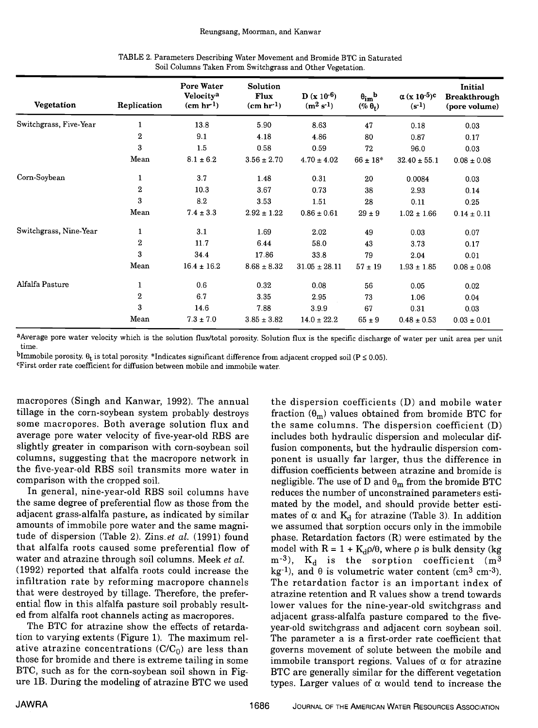| Vegetation             | Replication      | <b>Pore Water</b><br>Velocity <sup>a</sup><br>(cm hr <sup>1</sup> ) | Solution<br>Flux<br>(cm hr <sup>1</sup> ) | $D (x 10^{-6})$<br>$(m^2 s^{-1})$ | $\theta_{\rm im}^{\phantom{\rm h}}$<br>$(\% \theta_t)$ | $\alpha$ (x 10 <sup>-5</sup> ) <sup>c</sup><br>$(s^{-1})$ | Initial<br><b>Breakthrough</b><br>(pore volume) |
|------------------------|------------------|---------------------------------------------------------------------|-------------------------------------------|-----------------------------------|--------------------------------------------------------|-----------------------------------------------------------|-------------------------------------------------|
| Switchgrass, Five-Year | 1                | 13.8                                                                | 5.90                                      | 8.63                              | 47                                                     | 0.18                                                      | 0.03                                            |
|                        | $\overline{2}$   | 9.1                                                                 | 4.18                                      | 4.86                              | 80                                                     | 0.87                                                      | 0.17                                            |
|                        | 3                | 1.5                                                                 | 0.58                                      | 0.59                              | 72                                                     | 96.0                                                      | 0.03                                            |
|                        | Mean             | $8.1\pm6.2$                                                         | $3.56 \pm 2.70$                           | $4.70 \pm 4.02$                   | $66\pm18^*$                                            | $32.40 \pm 55.1$                                          | $0.08\pm0.08$                                   |
| Corn-Soybean           | $\mathbf{1}$     | 3.7                                                                 | 1.48                                      | 0.31                              | 20                                                     | 0.0084                                                    | 0.03                                            |
|                        | $\overline{2}$   | 10.3                                                                | 3.67                                      | 0.73                              | 38                                                     | 2.93                                                      | 0.14                                            |
|                        | $\bf{3}$         | 8.2                                                                 | 3.53                                      | 1.51                              | 28                                                     | 0.11                                                      | 0.25                                            |
|                        | Mean             | $7.4 \pm 3.3$                                                       | $2.92 \pm 1.22$                           | $0.86 \pm 0.61$                   | $29\pm9$                                               | $1.02 \pm 1.66$                                           | $0.14 \pm 0.11$                                 |
| Switchgrass, Nine-Year | $\mathbf{1}$     | 3.1                                                                 | 1.69                                      | 2.02                              | 49                                                     | 0.03                                                      | 0.07                                            |
|                        | $\boldsymbol{2}$ | 11.7                                                                | 6.44                                      | 58.0                              | 43                                                     | 3.73                                                      | 0.17                                            |
|                        | 3                | 34 4                                                                | 17.86                                     | 33.8                              | 79                                                     | 2.04                                                      | 0.01                                            |
|                        | Mean             | $16.4 \pm 16.2$                                                     | $8.68 \pm 8.32$                           | $31.05 \pm 28.11$                 | $57 \pm 19$                                            | $1.93 \pm 1.85$                                           | $0.08 \pm 0.08$                                 |
| Alfalfa Pasture        | $\mathbf{1}$     | 0.6                                                                 | 0.32                                      | 0.08                              | 56                                                     | 0.05                                                      | 0.02                                            |
|                        | $\overline{2}$   | 6.7                                                                 | 3.35                                      | 2.95                              | 73                                                     | 1.06                                                      | 0.04                                            |
|                        | 3                | 14.6                                                                | 7.88                                      | 3.9.9                             | 67                                                     | 0.31                                                      | 0.03                                            |
|                        | Mean             | $7.3 \pm 7.0$                                                       | $3.85 \pm 3.82$                           | $14.0 \pm 22.2$                   | $65\pm9$                                               | $0.48\pm0.53$                                             | $0.03 \pm 0.01$                                 |

| TABLE 2. Parameters Describing Water Movement and Bromide BTC in Saturated |  |
|----------------------------------------------------------------------------|--|
| Soil Columns Taken From Switchgrass and Other Vegetation.                  |  |

aAverage pore water velocity which is the solution flux/total porosity. Solution flux is the specific discharge of water per unit area per unit time.

bImmobile porosity.  $\theta_t$  is total porosity. \*Indicates significant difference from adjacent cropped soil (P  $\leq$  0.05).

<sup>c</sup>First order rate coefficient for diffusion between mobile and immobile water.

macropores (Singh and Kanwar, 1992). The annual some macropores. Both average solution flux and average pore water velocity of five-year-old RBS are slightly greater in comparison with corn-soybean soil columns, suggesting that the macropore network in the five-year-old RBS soil transmits more water in comparison with the cropped soil.

In general, nine-year-old RBS soil columns have the same degree of preferential flow as those from the adjacent grass-alfalfa pasture, as indicated by similar amounts of immobile pore water and the same magnitude of dispersion (Table 2). Zins. et al. (1991) found that alfalfa roots caused some preferential flow of model with  $R = 1 + K_d \rho/\theta$ , where  $\rho$  is bulk density (kg water and atrazine through soil columns. Meek et al. (1992) reported that alfalfa roots could increase the infiltration rate by reforming macropore channels that were destroyed by tillage. Therefore, the prefer- ential flow in this alfalfa pasture soil probably resulted from alfalfa root channels acting as macropores.

The BTC for atrazine show the effects of retardation to varying extents (Figure 1). The maximum relative atrazine concentrations  $(C/C_0)$  are less than those for bromide and there is extreme tailing in some BTC, such as for the corn-soybean soil shown in Figure lB. During the modeling of atrazine BTC we used

the dispersion coefficients (D) and mobile water fraction  $(\theta_m)$  values obtained from bromide BTC for the same columns. The dispersion coefficient (D) includes both hydraulic dispersion and molecular diffusion components, but the hydraulic dispersion component is usually far larger, thus the difference in diffusion coefficients between atrazine and bromide is negligible. The use of D and  $\theta_m$  from the bromide BTC reduces the number of unconstrained parameters estimated by the model, and should provide better estimates of  $\alpha$  and  $K_d$  for atrazine (Table 3). In addition we assumed that sorption occurs only in the immobile phase. Retardation factors (R) were estimated by the m<sup>-3</sup>),  $K_d$  is the sorption coefficient (m<sup>3</sup> kg<sup>-1</sup>), and  $\theta$  is volumetric water content (cm<sup>3</sup> cm<sup>-3</sup>). The retardation factor is an important index of atrazine retention and R values show a trend towards lower values for the nine-year-old switchgrass and adjacent grass-alfalfa pasture compared to the fiveyear-old switchgrass and adjacent corn soybean soil. The parameter a is a first-order rate coefficient that governs movement of solute between the mobile and immobile transport regions. Values of  $\alpha$  for atrazine BTC are generally similar for the different vegetation types. Larger values of  $\alpha$  would tend to increase the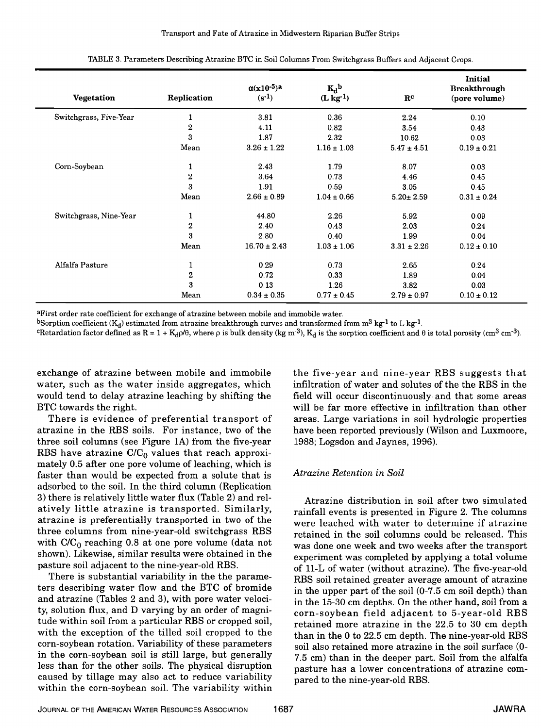| <b>Vegetation</b>      | Replication      | $\alpha(x10^{-5})^a$<br>$(s^{-1})$ | $K_d$ <sub>b</sub><br>$(L \log1)$ | $\mathbf{R}^{\mathbf{c}}$ | Initial<br><b>Breakthrough</b><br>(pore volume) |
|------------------------|------------------|------------------------------------|-----------------------------------|---------------------------|-------------------------------------------------|
| Switchgrass, Five-Year | 1                | 3.81                               | 0.36                              | 2.24                      | 0.10                                            |
|                        | $\bf 2$          | 4.11                               | 0.82                              | 3.54                      | 0.43                                            |
|                        | 3                | 1.87                               | 2.32                              | 10.62                     | 0.03                                            |
|                        | Mean             | $3.26 \pm 1.22$                    | $1.16 \pm 1.03$                   | $5.47 \pm 4.51$           | $0.19 \pm 0.21$                                 |
| Corn-Soybean           | 1                | 2.43                               | 1.79                              | 8.07                      | 0.03                                            |
|                        | $\,2\,$          | 3.64                               | 0.73                              | 4.46                      | 0.45                                            |
|                        | 3                | 1.91                               | 0.59                              | 3.05                      | 0.45                                            |
|                        | Mean             | $2.66 \pm 0.89$                    | $1.04 \pm 0.66$                   | $5.20 \pm 2.59$           | $0.31 \pm 0.24$                                 |
| Switchgrass, Nine-Year | 1                | 44.80                              | 2.26                              | 5.92                      | 0.09                                            |
|                        | $\,2$            | 2.40                               | 0.43                              | 2.03                      | 0.24                                            |
|                        | 3                | 2.80                               | 0.40                              | 1.99                      | 0.04                                            |
|                        | Mean             | $16.70 \pm 2.43$                   | $1.03 \pm 1.06$                   | $3.31 \pm 2.26$           | $0.12 \pm 0.10$                                 |
| Alfalfa Pasture        | 1                | 0.29                               | 0.73                              | 2.65                      | 0.24                                            |
|                        | $\boldsymbol{2}$ | 0.72                               | 0.33                              | 1.89                      | 0.04                                            |
|                        | 3                | 0.13                               | 1.26                              | 3.82                      | 0.03                                            |
|                        | Mean             | $0.34 \pm 0.35$                    | $0.77 \pm 0.45$                   | $2.79 \pm 0.97$           | $0.10 \pm 0.12$                                 |

TABLE 3. Parameters Describing Atrazine BTC in Soil Columns From Switchgrass Buffers and Adjacent Crops.

aFirst order rate coefficient for exchange of atrazine between mobile and immobile water.

bSorption coefficient  $(K_d)$  estimated from atrazine breakthrough curves and transformed from  $m^3$  kg<sup>-1</sup> to L kg<sup>-1</sup>.

<sup>c</sup>Retardation factor defined as R = 1 + K<sub>d</sub> $\rho/\theta$ , where  $\rho$  is bulk density (kg m<sup>-3</sup>), K<sub>d</sub> is the sorption coefficient and  $\theta$  is total porosity (cm<sup>3</sup> cm<sup>-3</sup>).

exchange of atrazine between mobile and immobile water, such as the water inside aggregates, which would tend to delay atrazine leaching by shifting the BTC towards the right.

There is evidence of preferential transport of atrazine in the RBS soils. For instance, two of the three soil columns (see Figure 1A) from the five-year RBS have atrazine  $C/C_0$  values that reach approximately 0.5 after one pore volume of leaching, which is faster than would be expected from a solute that is adsorbed to the soil. In the third column (Replication 3) there is relatively little water flux (Table 2) and relatively little atrazine is transported. Similarly, atrazine is preferentially transported in two of the three columns from nine-year-old switchgrass RBS with  $C/C_0$  reaching 0.8 at one pore volume (data not shown). Likewise, similar results were obtained in the pasture soil adjacent to the nine-year-old RBS.

There is substantial variability in the the parameters describing water flow and the BTC of bromide and atrazine (Tables 2 and 3), with pore water velocity, solution flux, and D varying by an order of magnitude within soil from a particular RBS or cropped soil, with the exception of the tilled soil cropped to the corn-soybean rotation. Variability of these parameters in the corn-soybean soil is still large, but generally less than for the other soils. The physical disruption caused by tillage may also act to reduce variability within the corn-soybean soil. The variability within

the five-year and nine-year RBS suggests that infiltration of water and solutes of the the RBS in the field will occur discontinuously and that some areas will be far more effective in infiltration than other areas. Large variations in soil hydrologic properties have been reported previously (Wilson and Luxmoore, 1988; Logsdon and Jaynes, 1996).

## Atrazine Retention in Soil

Atrazine distribution in soil after two simulated rainfall events is presented in Figure 2. The columns were leached with water to determine if atrazine retained in the soil columns could be released. This was done one week and two weeks after the transport experiment was completed by applying a total volume of 11-L of water (without atrazine). The five-year-old RBS soil retained greater average amount of atrazine in the upper part of the soil (0-7.5 cm soil depth) than in the 15-30 cm depths. On the other hand, soil from a corn-soybean field adjacent to 5-year-old RBS retained more atrazine in the 22.5 to 30 cm depth than in the 0 to 22.5 cm depth. The nine-year-old RBS soil also retained more atrazine in the soil surface (0- 7.5 cm) than in the deeper part. Soil from the alfalfa pasture has a lower concentrations of atrazine compared to the nine-year-old RBS.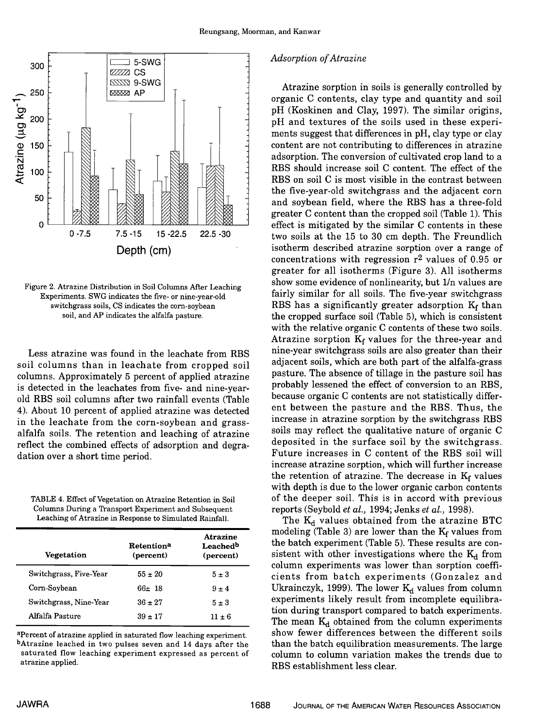

Figure 2. Atrazine Distribution in Soil Columns After Leaching Experiments. SWG indicates the five- or nine-year-old switchgrass soils, CS indicates the corn-soybean soil, and AP indicates the alfalfa pasture.

Less atrazine was found in the leachate from RBS soil columns than in leachate from cropped soil columns. Approximately 5 percent of applied atrazine is detected in the leachates from five- and nine-yearold RBS soil columns after two rainfall events (Table 4). About 10 percent of applied atrazine was detected in the leachate from the corn-soybean and grassalfalfa soils. The retention and leaching of atrazine reflect the combined effects of adsorption and degradation over a short time period.

TABLE 4. Effect of Vegetation on Atrazine Retention in Soil Columns During a Transport Experiment and Subsequent Leaching of Atrazine in Response to Simulated Rainfall.

| Vegetation             | Retention <sup>a</sup><br>(percent) | <b>Atrazine</b><br>Leachedb<br>(percent) |
|------------------------|-------------------------------------|------------------------------------------|
| Switchgrass, Five-Year | $55 \pm 20$                         | $5 \pm 3$                                |
| Corn-Soybean           | $66 \pm 18$                         | $9 \pm 4$                                |
| Switchgrass, Nine-Year | $36 \pm 27$                         | $5 \pm 3$                                |
| Alfalfa Pasture        | $39 \pm 17$                         | $11 \pm 6$                               |

apercent of atrazine applied in saturated flow leaching experiment. bAtrazine leached in two pulses seven and 14 days after the saturated flow leaching experiment expressed as percent of atrazine applied.

### Adsorption of Atrazine

Atrazine sorption in soils is generally controlled by organic C contents, clay type and quantity and soil pH (Koskinen and Clay, 1997). The similar origins, pH and textures of the soils used in these experiments suggest that differences in pH, clay type or clay content are not contributing to differences in atrazine adsorption. The conversion of cultivated crop land to a RBS should increase soil C content. The effect of the RBS on soil C is most visible in the contrast between the five-year-old switchgrass and the adjacent corn and soybean field, where the RBS has a three-fold greater C content than the cropped soil (Table 1). This effect is mitigated by the similar C contents in these two soils at the 15 to 30 cm depth. The Freundlich isotherm described atrazine sorption over a range of concentrations with regression  $r^2$  values of 0.95 or greater for all isotherms (Figure 3). All isotherms show some evidence of nonlinearity, but 1/n values are fairly similar for all soils. The five-year switchgrass RBS has a significantly greater adsorption  $K_f$  than the cropped surface soil (Table 5), which is consistent with the relative organic C contents of these two soils. Atrazine sorption  $K_f$  values for the three-year and nine-year switchgrass soils are also greater than their adjacent soils, which are both part of the alfalfa-grass pasture. The absence of tillage in the pasture soil has probably lessened the effect of conversion to an RBS, because organic C contents are not statistically different between the pasture and the RBS. Thus, the increase in atrazine sorption by the switchgrass RBS soils may reflect the qualitative nature of organic C deposited in the surface soil by the switchgrass. Future increases in C content of the RBS soil will increase atrazine sorption, which will further increase the retention of atrazine. The decrease in  $K_f$  values with depth is due to the lower organic carbon contents of the deeper soil. This is in accord with previous

reports (Seybold *et al.*, 1994; Jenks *et al.*, 1998).<br>The  $K_d$  values obtained from the atrazine BTC modeling (Table 3) are lower than the  $K_f$  values from the batch experiment (Table 5). These results are consistent with other investigations where the  $K_d$  from column experiments was lower than sorption coefficients from batch experiments (Gonzalez and Ukrainczyk, 1999). The lower  $K_d$  values from column experiments likely result from incomplete equilibra-The mean  $K_d$  obtained from the column experiments. show fewer differences between the different soils than the batch equilibration measurements. The large column to column variation makes the trends due to RBS establishment less clear.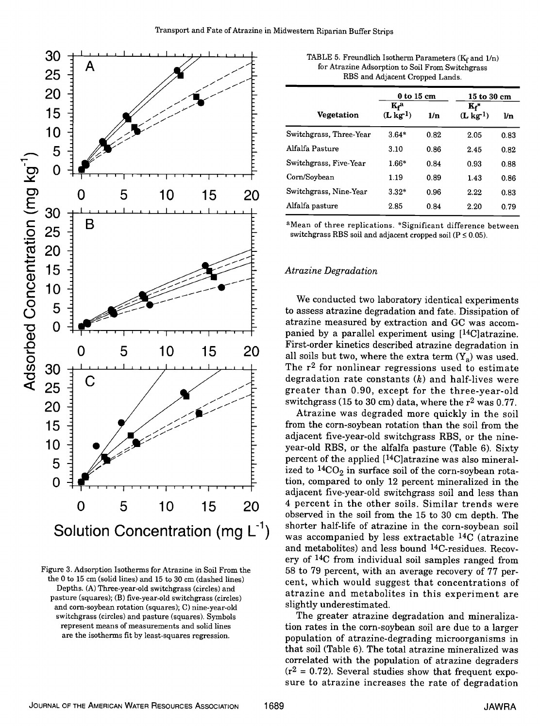

Figure 3. Adsorption Isotherms for Atrazine in Soil From the the 0 to 15 cm (solid lines) and 15 to 30 cm (dashed lines) Depths. (A) Three-year-old switchgrass (circles) and pasture (squares); (B) five-year-old switchgrass (circles) and corn-soybean rotation (squares); C) nine-year-old switchgrass (circles) and pasture (squares). Symbols represent means of measurements and solid lines are the isotherms fit by least-squares regression.

|                         | $0$ to $15$ cm          |      | 15 to 30 cm                      |                |
|-------------------------|-------------------------|------|----------------------------------|----------------|
| <b>Vegetation</b>       | $K_f^a$<br>$(L \log 1)$ | 1/n  | $\mathbf{K_f}^*$<br>$(L \log 1)$ | $\mathbf{\nu}$ |
| Switchgrass, Three-Year | $3.64*$                 | 0.82 | 2.05                             | 0.83           |
| Alfalfa Pasture         | 3.10                    | 0.86 | 2.45                             | 0.82           |
| Switchgrass, Five-Year  | $1.66*$                 | 0.84 | 0.93                             | 0.88           |
| Corn/Soybean            | 1.19                    | 0.89 | 1.43                             | 0.86           |
| Switchgrass, Nine-Year  | $3.32*$                 | 0.96 | 2.22                             | 0.83           |
| Alfalfa pasture         | 2.85                    | 0.84 | 2.20                             | 0.79           |

aMean of three replications. \*Significant difference between switchgrass RBS soil and adjacent cropped soil ( $P \le 0.05$ ).

## Atrazine Degradation

We conducted two laboratory identical experiments to assess atrazine degradation and fate. Dissipation of atrazine measured by extraction and GC was accompanied by a parallel experiment using [14C]atrazine. First-order kinetics described atrazine degradation in all soils but two, where the extra term  $(Y_a)$  was used. The  $r^2$  for nonlinear regressions used to estimate degradation rate constants  $(k)$  and half-lives were greater than 0.90, except for the three-year-old switchgrass (15 to 30 cm) data, where the  $r^2$  was 0.77.

Atrazine was degraded more quickly in the soil from the corn-soybean rotation than the soil from the adjacent five-year-old switchgrass RBS, or the nineyear-old RBS, or the alfalfa pasture (Table 6). Sixty percent of the applied ['4C]atrazine was also mineralized to  ${}^{14}CO_2$  in surface soil of the corn-soybean rotation, compared to only 12 percent mineralized in the adjacent five-year-old switchgrass soil and less than observed in the soil from the 15 to 30 cm depth. The shorter half-life of atrazine in the corn-soybean soil was accompanied by less extractable 14C (atrazine and metabolites) and less bound 14C-residues. Recovery of 14C from individual soil samples ranged from 58 to 79 percent, with an average recovery of 77 percent, which would suggest that concentrations of atrazine and metabolites in this experiment are slightly underestimated. 0 5 10 15 20 <sup>4</sup> percent in the other soils. Similar trends were

> The greater atrazine degradation and mineralization rates in the corn-soybean soil are due to a larger population of atrazine-degrading microorganisms in that soil (Table 6). The total atrazine mineralized was correlated with the population of atrazine degraders  $(r^2 = 0.72)$ . Several studies show that frequent exposure to atrazine increases the rate of degradation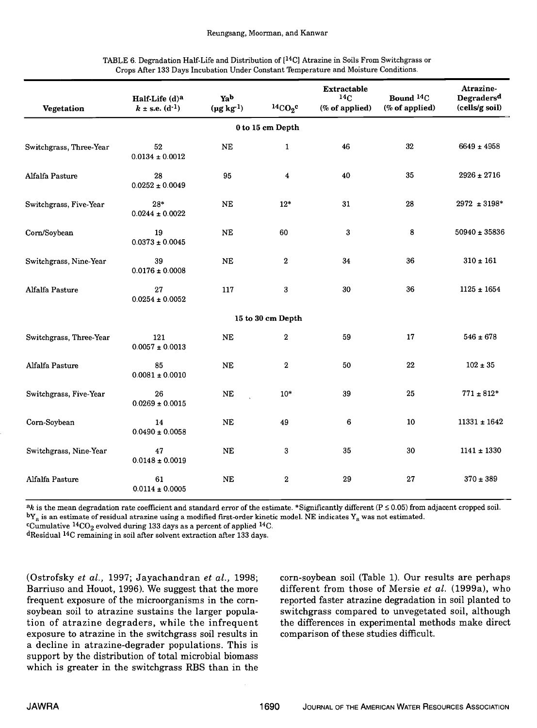| TABLE 6. Degradation Half-Life and Distribution of $[14C]$ Atrazine in Soils From Switchgrass or |  |
|--------------------------------------------------------------------------------------------------|--|
| Crops After 133 Days Incubation Under Constant Temperature and Moisture Conditions.              |  |

| Vegetation              | Half-Life (d)a<br>$k \pm$ s.e. $(d^{-1})$ | Yab<br>$(\mu g kg1)$ | ${}^{14}CO_2{}^c$       | Extractable<br>14 <sub>C</sub><br>(% of applied) | Bound <sup>14</sup> C<br>(% of applied) | Atrazine-<br>Degradersd<br>(cells/g soil) |
|-------------------------|-------------------------------------------|----------------------|-------------------------|--------------------------------------------------|-----------------------------------------|-------------------------------------------|
|                         |                                           |                      | 0 to 15 cm Depth        |                                                  |                                         |                                           |
| Switchgrass, Three-Year | 52<br>$0.0134 \pm 0.0012$                 | $\rm NE$             | $\mathbf{1}$            | 46                                               | 32                                      | $6649 \pm 4958$                           |
| Alfalfa Pasture         | 28<br>$0.0252 \pm 0.0049$                 | 95                   | $\overline{\mathbf{4}}$ | 40                                               | 35                                      | $2926 \pm 2716$                           |
| Switchgrass, Five-Year  | $28*$<br>$0.0244 \pm 0.0022$              | <b>NE</b>            | $12*$                   | 31                                               | 28                                      | $2972 \pm 3198^*$                         |
| Corn/Soybean            | 19<br>$0.0373 \pm 0.0045$                 | <b>NE</b>            | 60                      | 3                                                | 8                                       | $50940 \pm 35836$                         |
| Switchgrass, Nine-Year  | 39<br>$0.0176 \pm 0.0008$                 | <b>NE</b>            | $\mathbf{2}$            | 34                                               | 36                                      | $310 \pm 161$                             |
| Alfalfa Pasture         | 27<br>$0.0254 \pm 0.0052$                 | 117                  | 3                       | 30                                               | 36                                      | $1125 \pm 1654$                           |
|                         |                                           |                      | 15 to 30 cm Depth       |                                                  |                                         |                                           |
| Switchgrass, Three-Year | 121<br>$0.0057 \pm 0.0013$                | <b>NE</b>            | $\,2$                   | 59                                               | 17                                      | $546 \pm 678$                             |
| Alfalfa Pasture         | 85<br>$0.0081 \pm 0.0010$                 | <b>NE</b>            | $\mathbf{2}$            | 50                                               | 22                                      | $102 \pm 35$                              |
| Switchgrass, Five-Year  | 26<br>$0.0269 \pm 0.0015$                 | $\rm NE$             | $10*$                   | 39                                               | 25                                      | $771\pm812^*$                             |
| Corn-Soybean            | 14<br>$0.0490 \pm 0.0058$                 | <b>NE</b>            | 49                      | 6                                                | 10                                      | $11331 \pm 1642$                          |
| Switchgrass, Nine-Year  | 47<br>$0.0148 \pm 0.0019$                 | <b>NE</b>            | 3                       | 35                                               | 30                                      | $1141 \pm 1330$                           |
| Alfalfa Pasture         | 61<br>$0.0114 \pm 0.0005$                 | <b>NE</b>            | $\boldsymbol{2}$        | 29                                               | 27                                      | $370 \pm 389$                             |

 $a_k$  is the mean degradation rate coefficient and standard error of the estimate. \*Significantly different (P  $\leq$  0.05) from adjacent cropped soil.  $bY_a$  is an estimate of residual atrazine using a modified first-order kinetic model. NE indicates  $Y_a$  was not estimated.

<sup>c</sup>Cumulative <sup>14</sup>CO<sub>2</sub> evolved during 133 days as a percent of applied <sup>14</sup>C.

dResidual 14C remaining in soil after solvent extraction after 133 days.

(Ostrofsky et al., 1997; Jayachandran et al., 1998; Barriuso and Houot, 1996). We suggest that the more frequent exposure of the microorganisms in the cornsoybean soil to atrazine sustains the larger population of atrazine degraders, while the infrequent exposure to atrazine in the switchgrass soil results in a decline in atrazine-degrader populations. This is support by the distribution of total microbial biomass which is greater in the switchgrass RBS than in the corn-soybean soil (Table 1). Our results are perhaps different from those of Mersie et al. (1999a), who reported faster atrazine degradation in soil planted to switchgrass compared to unvegetated soil, although the differences in experimental methods make direct comparison of these studies difficult.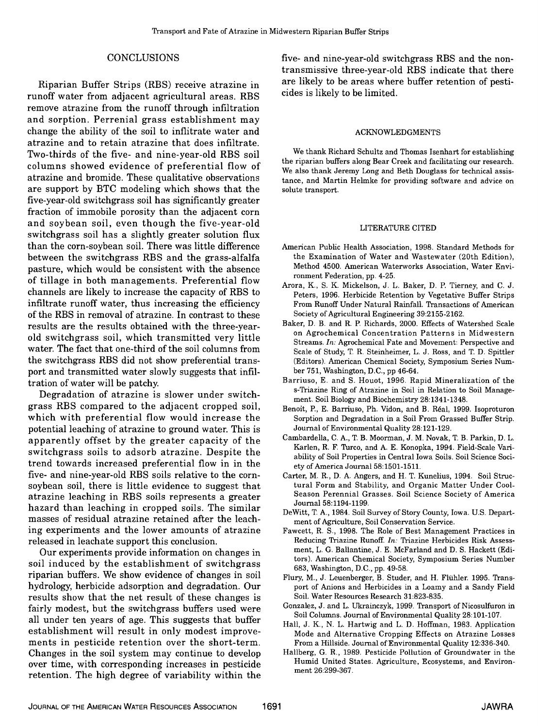## **CONCLUSIONS**

Riparian Buffer Strips (RBS) receive atrazine in runoff water from adjacent agricultural areas. RBS remove atrazine from the runoff through infiltration and sorption. Perrenial grass establishment may change the ability of the soil to inflitrate water and atrazine and to retain atrazine that does infiltrate. Two-thirds of the five- and nine-year-old RBS soil columns showed evidence of preferential flow of atrazine and bromide. These qualitative observations are support by BTC modeling which shows that the five-year-old switchgrass soil has significantly greater fraction of immobile porosity than the adjacent corn and soybean soil, even though the five-year-old switchgrass soil has a slightly greater solution flux than the corn-soybean soil. There was little difference between the switchgrass RBS and the grass-alfalfa pasture, which would be consistent with the absence of tillage in both managements. Preferential flow channels are likely to increase the capacity of RBS to infiltrate runoff water, thus increasing the efficiency of the RBS in removal of atrazine. In contrast to these results are the results obtained with the three-yearold switchgrass soil, which transmitted very little water. The fact that one-third of the soil columns from the switchgrass RBS did not show preferential transport and transmitted water slowly suggests that infiltration of water will be patchy.

Degradation of atrazine is slower under switchgrass RBS compared to the adjacent cropped soil, which with preferential flow would increase the potential leaching of atrazine to ground water. This is apparently offset by the greater capacity of the switchgrass soils to adsorb atrazine. Despite the trend towards increased preferential flow in in the five- and nine-year-old RBS soils relative to the cornsoybean soil, there is little evidence to suggest that atrazine leaching in RBS soils represents a greater hazard than leaching in cropped soils. The similar masses of residual atrazine retained after the leaching experiments and the lower amounts of atrazine released in leachate support this conclusion.

Our experiments provide information on changes in soil induced by the establishment of switchgrass riparian buffers. We show evidence of changes in soil hydrology, herbicide adsorption and degradation. Our results show that the net result of these changes is fairly modest, but the switchgrass buffers used were all under ten years of age. This suggests that buffer establishment will result in only modest improvements in pesticide retention over the short-term. Changes in the soil system may continue to develop over time, with corresponding increases in pesticide retention. The high degree of variability within the

five- and nine-year-old switchgrass RBS and the nontransmissive three-year-old RBS indicate that there are likely to be areas where buffer retention of pesticides is likely to be limited.

#### ACKNOWLEDGMENTS

We thank Richard Schultz and Thomas Isenhart for establishing the riparian buffers along Bear Creek and facilitating our research. We also thank Jeremy Long and Beth Douglass for technical assistance, and Martin Helmke for providing software and advice on solute transport.

#### LITERATURE CITED

- American Public Health Association, 1998. Standard Methods for the Examination of Water and Wastewater (20th Edition), Method 4500. American Waterworks Association, Water Environment Federation, pp. 4-25.
- Arora, K., S. K. Mickelson, J. L. Baker, D. P. Tierney, and C. J. Peters, 1996. Herbicide Retention by Vegetative Buffer Strips From Runoff Under Natural Rainfall. Transactions of American Society of Agricultural Engineering 39:2155-2162.
- Baker, D. B. and R. P. Richards, 2000. Effects of Watershed Scale on Agrochemical Concentration Patterns in Midwestern Streams. In: Agrochemical Fate and Movement: Perspective and Scale of Study, T. R. Steinheimer, L. J. Ross, and T. D. Spittler (Editors). American Chemical Society, Symposium Series Number 751, Washington, D.C., pp 46-64.
- Barriuso, E. and S. Houot, 1996. Rapid Mineralization of the s-Triazine Ring of Atrazine in Soil in Relation to Soil Management. Soil Biology and Biochemistry 28:1341-1348.
- Benoit, P., E. Barriuso, Ph. Vidon, and B. Real, 1999. Isoproturon Sorption and Degradation in a Soil From Grassed Buffer Strip. Journal of Environmental Quality 28:121-129.
- Cambardella, C. A., T. B. Moorman, J. M. Novak, T. B. Parkin, D. L. Karlen, R. F. Turco, and A. E. Konopka, 1994. Field-Scale Variability of Soil Properties in Central Iowa Soils. Soil Science Society of America Journal 58: 1501-1511.
- Carter, M. R., D. A. Angers, and H. T. Kunelius, 1994. Soil Structural Form and Stability, and Organic Matter Under Cool-Season Perennial Grasses. Soil Science Society of America Journal 58:1194-1199.
- DeWitt, T. A., 1984. Soil Survey of Story County, Iowa. U.S. Department of Agriculture, Soil Conservation Service.
- Fawcett, R. S., 1998. The Role of Best Management Practices in Reducing Triazine Runoff. In: Triazine Herbicides Risk Assessment, L. G. Ballantine, J. E. McFarland and D. S. Hackett (Editors). American Chemical Society, Symposium Series Number 683, Washington, D.C., pp. 49-58.
- Flury, M., J. Leuenberger, B. Studer, and H. Fluhler. 1995. Transport of Anions and Herbicides in a Loamy and a Sandy Field Soil. Water Resources Research 3 1:823-835.
- Gonzalez, J. and L. Ukrainczyk, 1999. Transport of Nicosulfuron in Soil Columns. Journal of Environmental Quality 28:101-107.
- Hall, J. K., N. L. Hartwig and L. D. Hoffman, 1983. Application Mode and Alternative Cropping Effects on Atrazine Losses From a Hillside. Journal of Environmental Quality 12:336-340.
- Hallberg, G. R., 1989. Pesticide Pollution of Groundwater in the Humid United States. Agriculture, Ecosystems, and Environment 26:299-367.